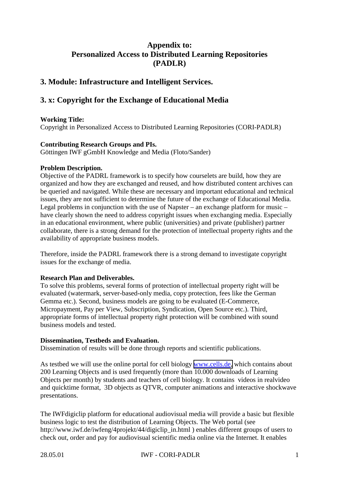# **Appendix to: Personalized Access to Distributed Learning Repositories (PADLR)**

## **3. Module: Infrastructure and Intelligent Services.**

# **3. x: Copyright for the Exchange of Educational Media**

#### **Working Title:**

Copyright in Personalized Access to Distributed Learning Repositories (CORI-PADLR)

#### **Contributing Research Groups and PIs.**

Göttingen IWF gGmbH Knowledge and Media (Floto/Sander)

### **Problem Description.**

Objective of the PADRL framework is to specify how courselets are build, how they are organized and how they are exchanged and reused, and how distributed content archives can be queried and navigated. While these are necessary and important educational and technical issues, they are not sufficient to determine the future of the exchange of Educational Media. Legal problems in conjunction with the use of Napster – an exchange platform for music – have clearly shown the need to address copyright issues when exchanging media. Especially in an educational environment, where public (universities) and private (publisher) partner collaborate, there is a strong demand for the protection of intellectual property rights and the availability of appropriate business models.

Therefore, inside the PADRL framework there is a strong demand to investigate copyright issues for the exchange of media.

#### **Research Plan and Deliverables.**

To solve this problems, several forms of protection of intellectual property right will be evaluated (watermark, server-based-only media, copy protection, fees like the German Gemma etc.). Second, business models are going to be evaluated (E-Commerce, Micropayment, Pay per View, Subscription, Syndication, Open Source etc.). Third, appropriate forms of intellectual property right protection will be combined with sound business models and tested.

### **Dissemination, Testbeds and Evaluation.**

Dissemination of results will be done through reports and scientific publications.

As testbed we will use the online portal for cell biology [www.cells.de,](http://www.cells.de/) which contains about 200 Learning Objects and is used frequently (more than 10.000 downloads of Learning Objects per month) by students and teachers of cell biology. It contains videos in realvideo and quicktime format, 3D objects as QTVR, computer animations and interactive shockwave presentations.

The IWFdigiclip platform for educational audiovisual media will provide a basic but flexible business logic to test the distribution of Learning Objects. The Web portal (see http://www.iwf.de/iwfeng/4projekt/44/digiclip\_in.html ) enables different groups of users to check out, order and pay for audiovisual scientific media online via the Internet. It enables